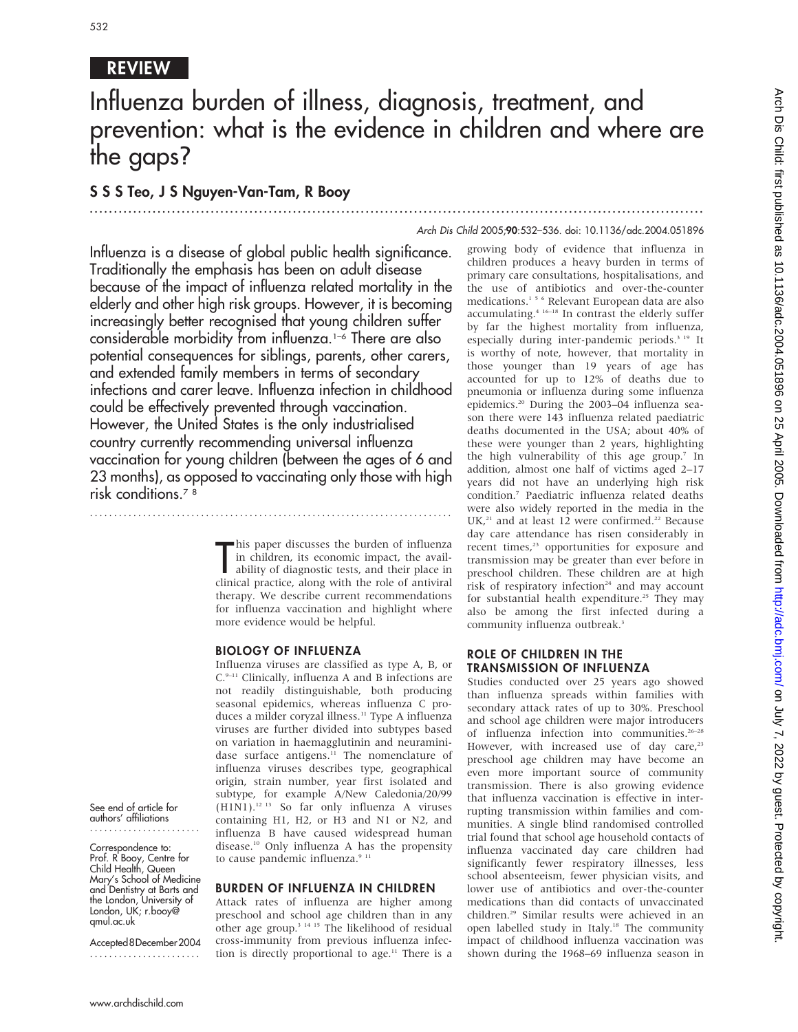# REVIEW

# Influenza burden of illness, diagnosis, treatment, and prevention: what is the evidence in children and where are the gaps?

# S S S Teo, J S Nguyen-Van-Tam, R Booy ...............................................................................................................................

#### Arch Dis Child 2005;90:532–536. doi: 10.1136/adc.2004.051896

Influenza is a disease of global public health significance. Traditionally the emphasis has been on adult disease because of the impact of influenza related mortality in the elderly and other high risk groups. However, it is becoming increasingly better recognised that young children suffer considerable morbidity from influenza.1–6 There are also potential consequences for siblings, parents, other carers, and extended family members in terms of secondary infections and carer leave. Influenza infection in childhood could be effectively prevented through vaccination. However, the United States is the only industrialised country currently recommending universal influenza vaccination for young children (between the ages of 6 and 23 months), as opposed to vaccinating only those with high risk conditions.7 8

...........................................................................

his paper discusses the burden of influenza<br>
in children, its economic impact, the avail-<br>
ability of diagnostic tests, and their place in<br>
clinical practice, along with the role of aptiviral in children, its economic impact, the availability of diagnostic tests, and their place in clinical practice, along with the role of antiviral therapy. We describe current recommendations for influenza vaccination and highlight where more evidence would be helpful.

#### BIOLOGY OF INFLUENZA

Influenza viruses are classified as type A, B, or  $C<sub>9–11</sub>$  Clinically, influenza A and B infections are not readily distinguishable, both producing seasonal epidemics, whereas influenza C produces a milder coryzal illness.<sup>11</sup> Type A influenza viruses are further divided into subtypes based on variation in haemagglutinin and neuraminidase surface antigens.<sup>11</sup> The nomenclature of influenza viruses describes type, geographical origin, strain number, year first isolated and subtype, for example A/New Caledonia/20/99 (H1N1).12 13 So far only influenza A viruses containing H1, H2, or H3 and N1 or N2, and influenza B have caused widespread human disease.10 Only influenza A has the propensity to cause pandemic influenza.<sup>9 11</sup>

#### BURDEN OF INFLUENZA IN CHILDREN

Attack rates of influenza are higher among preschool and school age children than in any other age group.<sup>3 14 15</sup> The likelihood of residual cross-immunity from previous influenza infection is directly proportional to age.<sup>11</sup> There is a

growing body of evidence that influenza in children produces a heavy burden in terms of primary care consultations, hospitalisations, and the use of antibiotics and over-the-counter medications.<sup>156</sup> Relevant European data are also accumulating.<sup>4</sup> <sup>16–18</sup> In contrast the elderly suffer by far the highest mortality from influenza, especially during inter-pandemic periods.<sup>3 19</sup> It is worthy of note, however, that mortality in those younger than 19 years of age has accounted for up to 12% of deaths due to pneumonia or influenza during some influenza epidemics.20 During the 2003–04 influenza season there were 143 influenza related paediatric deaths documented in the USA; about 40% of these were younger than 2 years, highlighting the high vulnerability of this age group.<sup>7</sup> In addition, almost one half of victims aged 2–17 years did not have an underlying high risk condition.7 Paediatric influenza related deaths were also widely reported in the media in the UK,<sup>21</sup> and at least 12 were confirmed.<sup>22</sup> Because day care attendance has risen considerably in recent times,<sup>23</sup> opportunities for exposure and transmission may be greater than ever before in preschool children. These children are at high risk of respiratory infection $24$  and may account for substantial health expenditure.<sup>25</sup> They may also be among the first infected during a community influenza outbreak.<sup>3</sup>

## ROLE OF CHILDREN IN THE TRANSMISSION OF INFLUENZA

Studies conducted over 25 years ago showed than influenza spreads within families with secondary attack rates of up to 30%. Preschool and school age children were major introducers of influenza infection into communities.<sup>26-28</sup> However, with increased use of day care,<sup>23</sup> preschool age children may have become an even more important source of community transmission. There is also growing evidence that influenza vaccination is effective in interrupting transmission within families and communities. A single blind randomised controlled trial found that school age household contacts of influenza vaccinated day care children had significantly fewer respiratory illnesses, less school absenteeism, fewer physician visits, and lower use of antibiotics and over-the-counter medications than did contacts of unvaccinated children.29 Similar results were achieved in an open labelled study in Italy.<sup>18</sup> The community impact of childhood influenza vaccination was shown during the 1968–69 influenza season in

See end of article for authors' affiliations .......................

Correspondence to: Prof. R Booy, Centre for Child Health, Queen Mary's School of Medicine and Dentistry at Barts and the London, University of London, UK; r.booy@ qmul.ac.uk

Accepted8December2004 .......................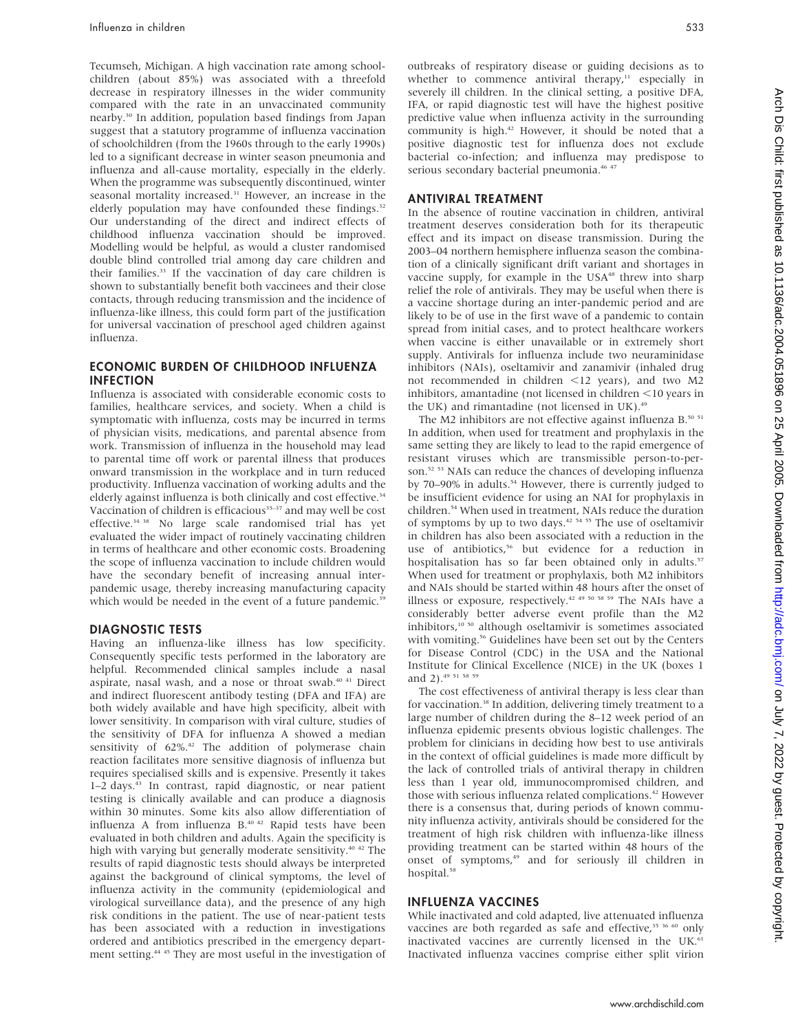Tecumseh, Michigan. A high vaccination rate among schoolchildren (about 85%) was associated with a threefold decrease in respiratory illnesses in the wider community compared with the rate in an unvaccinated community nearby.30 In addition, population based findings from Japan suggest that a statutory programme of influenza vaccination of schoolchildren (from the 1960s through to the early 1990s) led to a significant decrease in winter season pneumonia and influenza and all-cause mortality, especially in the elderly. When the programme was subsequently discontinued, winter seasonal mortality increased.<sup>31</sup> However, an increase in the elderly population may have confounded these findings.<sup>32</sup> Our understanding of the direct and indirect effects of childhood influenza vaccination should be improved. Modelling would be helpful, as would a cluster randomised double blind controlled trial among day care children and their families.<sup>33</sup> If the vaccination of day care children is shown to substantially benefit both vaccinees and their close contacts, through reducing transmission and the incidence of influenza-like illness, this could form part of the justification for universal vaccination of preschool aged children against influenza.

# ECONOMIC BURDEN OF CHILDHOOD INFLUENZA INFECTION

Influenza is associated with considerable economic costs to families, healthcare services, and society. When a child is symptomatic with influenza, costs may be incurred in terms of physician visits, medications, and parental absence from work. Transmission of influenza in the household may lead to parental time off work or parental illness that produces onward transmission in the workplace and in turn reduced productivity. Influenza vaccination of working adults and the elderly against influenza is both clinically and cost effective.<sup>34</sup> Vaccination of children is efficacious<sup>35-37</sup> and may well be cost effective.<sup>34 38</sup> No large scale randomised trial has yet evaluated the wider impact of routinely vaccinating children in terms of healthcare and other economic costs. Broadening the scope of influenza vaccination to include children would have the secondary benefit of increasing annual interpandemic usage, thereby increasing manufacturing capacity which would be needed in the event of a future pandemic.<sup>39</sup>

#### DIAGNOSTIC TESTS

Having an influenza-like illness has low specificity. Consequently specific tests performed in the laboratory are helpful. Recommended clinical samples include a nasal aspirate, nasal wash, and a nose or throat swab.<sup>40 41</sup> Direct and indirect fluorescent antibody testing (DFA and IFA) are both widely available and have high specificity, albeit with lower sensitivity. In comparison with viral culture, studies of the sensitivity of DFA for influenza A showed a median sensitivity of  $62\%$ .<sup>42</sup> The addition of polymerase chain reaction facilitates more sensitive diagnosis of influenza but requires specialised skills and is expensive. Presently it takes 1-2 days.<sup>43</sup> In contrast, rapid diagnostic, or near patient testing is clinically available and can produce a diagnosis within 30 minutes. Some kits also allow differentiation of influenza A from influenza B.40 42 Rapid tests have been evaluated in both children and adults. Again the specificity is high with varying but generally moderate sensitivity.<sup>40 42</sup> The results of rapid diagnostic tests should always be interpreted against the background of clinical symptoms, the level of influenza activity in the community (epidemiological and virological surveillance data), and the presence of any high risk conditions in the patient. The use of near-patient tests has been associated with a reduction in investigations ordered and antibiotics prescribed in the emergency department setting.44 45 They are most useful in the investigation of outbreaks of respiratory disease or guiding decisions as to whether to commence antiviral therapy,<sup>11</sup> especially in severely ill children. In the clinical setting, a positive DFA, IFA, or rapid diagnostic test will have the highest positive predictive value when influenza activity in the surrounding community is high.<sup>42</sup> However, it should be noted that a positive diagnostic test for influenza does not exclude bacterial co-infection; and influenza may predispose to serious secondary bacterial pneumonia.<sup>46 47</sup>

#### ANTIVIRAL TREATMENT

In the absence of routine vaccination in children, antiviral treatment deserves consideration both for its therapeutic effect and its impact on disease transmission. During the 2003–04 northern hemisphere influenza season the combination of a clinically significant drift variant and shortages in vaccine supply, for example in the USA<sup>48</sup> threw into sharp relief the role of antivirals. They may be useful when there is a vaccine shortage during an inter-pandemic period and are likely to be of use in the first wave of a pandemic to contain spread from initial cases, and to protect healthcare workers when vaccine is either unavailable or in extremely short supply. Antivirals for influenza include two neuraminidase inhibitors (NAIs), oseltamivir and zanamivir (inhaled drug not recommended in children  $\leq$ 12 years), and two M2 inhibitors, amantadine (not licensed in children  $<$  10 years in the UK) and rimantadine (not licensed in UK). $49$ 

The M2 inhibitors are not effective against influenza B.<sup>50 51</sup> In addition, when used for treatment and prophylaxis in the same setting they are likely to lead to the rapid emergence of resistant viruses which are transmissible person-to-person.<sup>52 53</sup> NAIs can reduce the chances of developing influenza by 70–90% in adults.<sup>54</sup> However, there is currently judged to be insufficient evidence for using an NAI for prophylaxis in children.54 When used in treatment, NAIs reduce the duration of symptoms by up to two days.42 54 55 The use of oseltamivir in children has also been associated with a reduction in the use of antibiotics,<sup>56</sup> but evidence for a reduction in hospitalisation has so far been obtained only in adults.<sup>57</sup> When used for treatment or prophylaxis, both M2 inhibitors and NAIs should be started within 48 hours after the onset of illness or exposure, respectively.42 49 50 58 59 The NAIs have a considerably better adverse event profile than the M2 inhibitors,10 50 although oseltamivir is sometimes associated with vomiting.<sup>56</sup> Guidelines have been set out by the Centers for Disease Control (CDC) in the USA and the National Institute for Clinical Excellence (NICE) in the UK (boxes 1 and 2).49 51 58 59

The cost effectiveness of antiviral therapy is less clear than for vaccination.<sup>38</sup> In addition, delivering timely treatment to a large number of children during the 8–12 week period of an influenza epidemic presents obvious logistic challenges. The problem for clinicians in deciding how best to use antivirals in the context of official guidelines is made more difficult by the lack of controlled trials of antiviral therapy in children less than 1 year old, immunocompromised children, and those with serious influenza related complications.<sup>42</sup> However there is a consensus that, during periods of known community influenza activity, antivirals should be considered for the treatment of high risk children with influenza-like illness providing treatment can be started within 48 hours of the onset of symptoms,49 and for seriously ill children in hospital.<sup>58</sup>

#### INFLUENZA VACCINES

While inactivated and cold adapted, live attenuated influenza vaccines are both regarded as safe and effective, $35\frac{36}{10}$  only inactivated vaccines are currently licensed in the UK.<sup>61</sup> Inactivated influenza vaccines comprise either split virion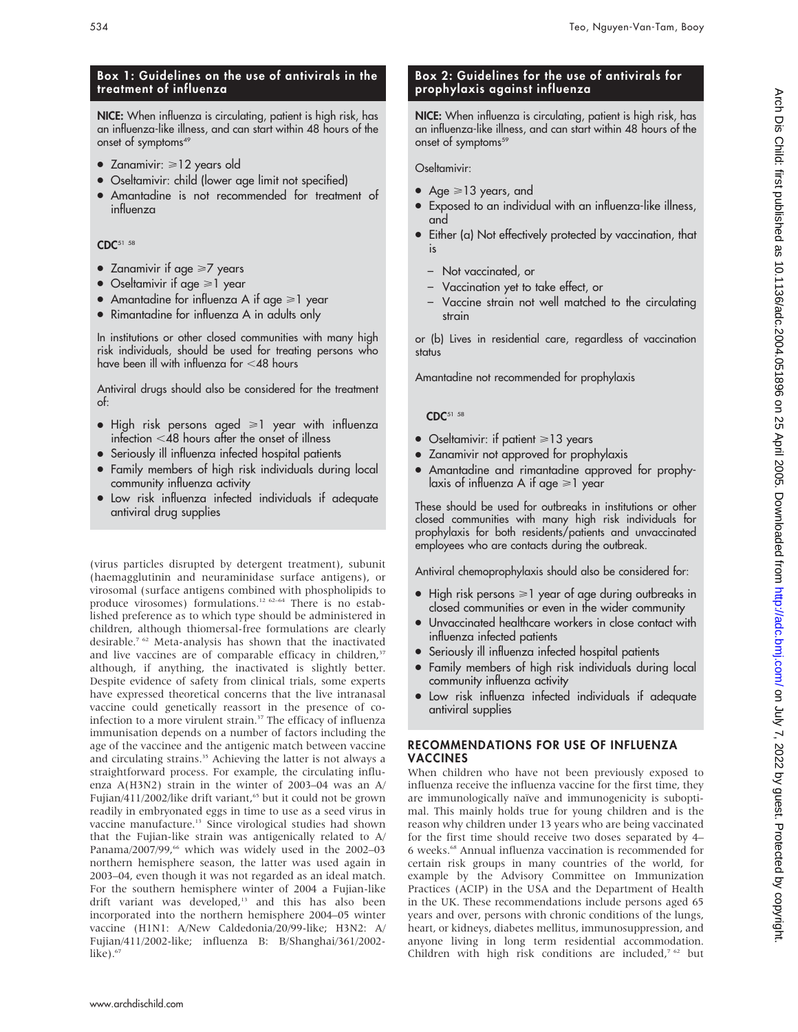# Box 1: Guidelines on the use of antivirals in the treatment of influenza

NICE: When influenza is circulating, patient is high risk, has an influenza-like illness, and can start within 48 hours of the onset of symptoms<sup>49</sup>

- Zanamivir:  $\geq 12$  years old
- Oseltamivir: child (lower age limit not specified)
- Amantadine is not recommended for treatment of influenza

CDC<sup>51</sup> 58

- Zanamivir if age  $\geq 7$  years
- Oseltamivir if age  $\geq 1$  year
- Amantadine for influenza A if age  $\geq 1$  year
- Rimantadine for influenza A in adults only

In institutions or other closed communities with many high risk individuals, should be used for treating persons who have been ill with influenza for  $<$ 48 hours

Antiviral drugs should also be considered for the treatment of:

- $\bullet$  High risk persons aged  $\geq 1$  year with influenza infection  $\langle 48$  hours after the onset of illness
- Seriously ill influenza infected hospital patients
- Family members of high risk individuals during local community influenza activity
- Low risk influenza infected individuals if adequate antiviral drug supplies

(virus particles disrupted by detergent treatment), subunit (haemagglutinin and neuraminidase surface antigens), or virosomal (surface antigens combined with phospholipids to produce virosomes) formulations.<sup>12 62-64</sup> There is no established preference as to which type should be administered in children, although thiomersal-free formulations are clearly desirable.<sup>7 62</sup> Meta-analysis has shown that the inactivated and live vaccines are of comparable efficacy in children,<sup>37</sup> although, if anything, the inactivated is slightly better. Despite evidence of safety from clinical trials, some experts have expressed theoretical concerns that the live intranasal vaccine could genetically reassort in the presence of coinfection to a more virulent strain.<sup>37</sup> The efficacy of influenza immunisation depends on a number of factors including the age of the vaccinee and the antigenic match between vaccine and circulating strains.<sup>35</sup> Achieving the latter is not always a straightforward process. For example, the circulating influenza A(H3N2) strain in the winter of 2003–04 was an A/ Fujian/411/2002/like drift variant,<sup>65</sup> but it could not be grown readily in embryonated eggs in time to use as a seed virus in vaccine manufacture.<sup>13</sup> Since virological studies had shown that the Fujian-like strain was antigenically related to A/ Panama/2007/99,<sup>66</sup> which was widely used in the 2002-03 northern hemisphere season, the latter was used again in 2003–04, even though it was not regarded as an ideal match. For the southern hemisphere winter of 2004 a Fujian-like drift variant was developed,<sup>13</sup> and this has also been incorporated into the northern hemisphere 2004–05 winter vaccine (H1N1: A/New Caldedonia/20/99-like; H3N2: A/ Fujian/411/2002-like; influenza B: B/Shanghai/361/2002 like $)$ . $67$ 

# Box 2: Guidelines for the use of antivirals for prophylaxis against influenza

NICE: When influenza is circulating, patient is high risk, has an influenza-like illness, and can start within 48 hours of the onset of symptoms<sup>59</sup>

Oseltamivir:

- Age  $\geq 13$  years, and
- Exposed to an individual with an influenza-like illness, and
- Either (a) Not effectively protected by vaccination, that is
	- Not vaccinated, or
	- Vaccination yet to take effect, or
	- Vaccine strain not well matched to the circulating strain

or (b) Lives in residential care, regardless of vaccination status

Amantadine not recommended for prophylaxis

CDC<sup>51</sup> 58

- Oseltamivir: if patient  $\geq 13$  years
- Zanamivir not approved for prophylaxis
- Amantadine and rimantadine approved for prophylaxis of influenza A if age  $\geq 1$  year

These should be used for outbreaks in institutions or other closed communities with many high risk individuals for prophylaxis for both residents/patients and unvaccinated employees who are contacts during the outbreak.

Antiviral chemoprophylaxis should also be considered for:

- $\bullet$  High risk persons  $\geq 1$  year of age during outbreaks in closed communities or even in the wider community
- **•** Unvaccinated healthcare workers in close contact with influenza infected patients
- Seriously ill influenza infected hospital patients
- N Family members of high risk individuals during local community influenza activity
- Low risk influenza infected individuals if adequate antiviral supplies

# RECOMMENDATIONS FOR USE OF INFLUENZA VACCINES

When children who have not been previously exposed to influenza receive the influenza vaccine for the first time, they are immunologically naïve and immunogenicity is suboptimal. This mainly holds true for young children and is the reason why children under 13 years who are being vaccinated for the first time should receive two doses separated by 4– 6 weeks.68 Annual influenza vaccination is recommended for certain risk groups in many countries of the world, for example by the Advisory Committee on Immunization Practices (ACIP) in the USA and the Department of Health in the UK. These recommendations include persons aged 65 years and over, persons with chronic conditions of the lungs, heart, or kidneys, diabetes mellitus, immunosuppression, and anyone living in long term residential accommodation. Children with high risk conditions are included,<sup>7 62</sup> but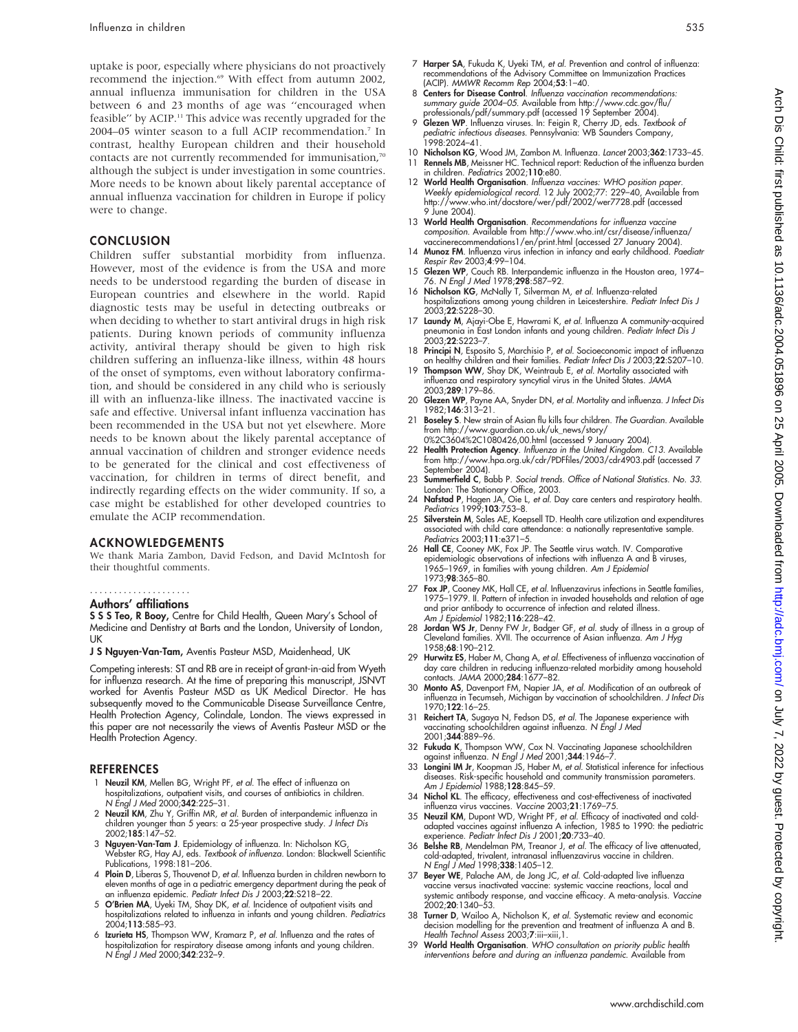uptake is poor, especially where physicians do not proactively recommend the injection.<sup>69</sup> With effect from autumn 2002, annual influenza immunisation for children in the USA between 6 and 23 months of age was ''encouraged when feasible" by ACIP.<sup>11</sup> This advice was recently upgraded for the 2004–05 winter season to a full ACIP recommendation.<sup>7</sup> In contrast, healthy European children and their household contacts are not currently recommended for immunisation,<sup>70</sup> although the subject is under investigation in some countries. More needs to be known about likely parental acceptance of annual influenza vaccination for children in Europe if policy were to change.

### **CONCLUSION**

Children suffer substantial morbidity from influenza. However, most of the evidence is from the USA and more needs to be understood regarding the burden of disease in European countries and elsewhere in the world. Rapid diagnostic tests may be useful in detecting outbreaks or when deciding to whether to start antiviral drugs in high risk patients. During known periods of community influenza activity, antiviral therapy should be given to high risk children suffering an influenza-like illness, within 48 hours of the onset of symptoms, even without laboratory confirmation, and should be considered in any child who is seriously ill with an influenza-like illness. The inactivated vaccine is safe and effective. Universal infant influenza vaccination has been recommended in the USA but not yet elsewhere. More needs to be known about the likely parental acceptance of annual vaccination of children and stronger evidence needs to be generated for the clinical and cost effectiveness of vaccination, for children in terms of direct benefit, and indirectly regarding effects on the wider community. If so, a case might be established for other developed countries to emulate the ACIP recommendation.

#### ACKNOWLEDGEMENTS

We thank Maria Zambon, David Fedson, and David McIntosh for their thoughtful comments.

# .....................

Authors' affiliations

S S S Teo, R Booy, Centre for Child Health, Queen Mary's School of Medicine and Dentistry at Barts and the London, University of London, UK

J S Nguyen-Van-Tam, Aventis Pasteur MSD, Maidenhead, UK

Competing interests: ST and RB are in receipt of grant-in-aid from Wyeth for influenza research. At the time of preparing this manuscript, JSNVT worked for Aventis Pasteur MSD as UK Medical Director. He has subsequently moved to the Communicable Disease Surveillance Centre, Health Protection Agency, Colindale, London. The views expressed in this paper are not necessarily the views of Aventis Pasteur MSD or the Health Protection Agency.

#### **REFERENCES**

- Neuzil KM, Mellen BG, Wright PF, et al. The effect of influenza on hospitalizations, outpatient visits, and courses of antibiotics in children. N Engl J Med 2000;342:225–31.
- 2 Neuzil KM, Zhu Y, Griffin MR, et al. Burden of interpandemic influenza in children younger than 5 years: a 25-year prospective study. *J Infect Dis*<br>2002;**185**:147–52.
- 3 Nguyen-Van-Tam J. Epidemiology of influenza. In: Nicholson KG, Webster RG, Hay AJ, eds. Textbook of influenza. London: Blackwell Scientific Publications, 1998:181–206.
- 4 Ploin D, Liberas S, Thouvenot D, et al. Influenza burden in children newborn to eleven months of age in a pediatric emergency department during the peak of<br>an influenza epidemic. *Pediatr Infect Dis J* 2003;**22**:S218–22.
- 5 O'Brien MA, Uyeki TM, Shay DK, et al. Incidence of outpatient visits and hospitalizations related to influenza in infants and young children. Pediatrics 2004;113:585–93.
- 6 Izurieta HS, Thompson WW, Kramarz P, et al. Influenza and the rates of hospitalization for respiratory disease among infants and young children. N Engl J Med 2000;342:232–9.
- 7 Harper SA, Fukuda K, Uyeki TM, et al. Prevention and control of influenza: recommendations of the Advisory Committee on Immunization Practices (ACIP). MMWR Recomm Rep 2004;53:1-40.
- 8 Centers for Disease Control. Influenza vaccination recommendations: summary guide 2004–05. Available from http://www.cdc.gov/flu/ professionals/pdf/summary.pdf (accessed 19 September 2004).
- 9 Glezen WP. Influenza viruses. In: Feigin R, Cherry JD, eds. Textbook of pediatric infectious diseases. Pennsylvania: WB Saunders Company, 1998:2024–41.
- 10 Ni**cholson KG**, Wood JM, Zambon M. Influenza. *Lancet* 2003;**362**:1733–45.<br>11 **Rennels MB**, Meissner HC. Technical report: Reduction of the influenza burden in children. Pediatrics 2002;110:e80.
- 12 World Health Organisation. Influenza vaccines: WHO position paper. Weekly epidemiological record. 12 July 2002;77: 229–40, Available from http://www.who.int/docstore/wer/pdf/2002/wer7728.pdf (accessed 9 June 2004).
- 13 World Health Organisation. Recommendations for influenza vaccine composition. Available from http://www.who.int/csr/disease/influenza/ vaccinerecommendations1/en/print.html (accessed 27 January 2004). 14 Munoz FM. Influenza virus infection in infancy and early childhood. Paediatr
- Respir Rev 2003;4:99–104.
- 15 Glezen WP, Couch RB. Interpandemic influenza in the Houston area, 1974– 76. N Engl J Med 1978;298:587-92.
- 16 Nicholson KG, McNally T, Silverman M, et al. Influenza-related hospitalizations among young children in Leicestershire. Pediatr Infect Dis J 2003;22:S228–30.
- 17 Laundy M, Ajayi-Obe E, Hawrami K, et al. Influenza A community-acquired pneumonia in East London infants and young children. Pediatr Infect Dis J 2003;22:S223–7.
- 18 Principi N, Esposito S, Marchisio P, et al. Socioeconomic impact of influenza on healthy children and their families. Pediatr Infect Dis J 2003;22:S207–10.
- 19 Thompson WW, Shay DK, Weintraub E, et al. Mortality associated with influenza and respiratory syncytial virus in the United States. JAMA 2003;289:179–86.
- 20 Glezen WP, Payne AA, Snyder DN, et al. Mortality and influenza. J Infect Dis 1982;146:313–21.
- 21 Boseley S. New strain of Asian flu kills four children. The Guardian. Available from http://www.guardian.co.uk/uk\_news/story/ 0%2C3604%2C1080426,00.html (accessed 9 January 2004).
- 22 Health Protection Agency. Influenza in the United Kingdom. C13. Available from http://www.hpa.org.uk/cdr/PDFfiles/2003/cdr4903.pdf (accessed 7 September 2004).
- 23 Summerfield C, Babb P. Social trends. Office of National Statistics. No. 33.
- London: The Stationary Office, 2003.<br>24 **Nafstad P**, Hagen JA, Oie L, *et al.* Day care centers and respiratory health.<br>Pediatrics 1999;**103**:753–8.
- 25 Silverstein M, Sales AE, Koepsell TD. Health care utilization and expenditures associated with child care attendance: a nationally representative sample. Pediatrics 2003;111:e371–5.
- 26 **Hall CE**, Cooney MK, Fox JP. The Seattle virus watch. IV. Comparative<br>epidemiologic observations of infections with influenza A and B viruses,<br>1965–1969, in families with young children. A*m J Epidemiol* 1973;98:365–80.
- 27 Fox JP, Cooney MK, Hall CE, et al. Influenzavirus infections in Seattle families, 1975–1979. II. Pattern of infection in invaded households and relation of age and prior antibody to occurrence of infection and related illness. Am J Epidemiol 1982;116:228–42.
- 28 Jordan WS Jr, Denny FW Jr, Badger GF, et al. study of illness in a group of Cleveland families. XVII. The occurrence of Asian influenza. Am J Hyg 1958;68:190–212.
- 29 Hurwitz ES, Haber M, Chang A, et al. Effectiveness of influenza vaccination of day care children in reducing influenza-related morbidity among household contacts. JAMA 2000;284:1677–82.
- 30 Monto AS, Davenport FM, Napier JA, et al. Modification of an outbreak of influenza in Tecumseh, Michigan by vaccination of schoolchildren. J Infect Dis 1970;122:16–25.
- 31 **Reichert TA**, Sugaya N, Fedson DS, *et al.* The Japanese experience with vaccinating schoolchildren against influenza. N *Engl J Med* 2001;344:889–96.
- 32 Fukuda K, Thompson WW, Cox N. Vaccinating Japanese schoolchildren against influenza. N Engl J Med 2001;344:1946-7
- 33 Longini IM Jr, Koopman JS, Haber M, et al. Statistical inference for infectious diseases. Risk-specific household and community transmission parameters. Am J Epidemiol 1988;128:845–59.
- 34 Nichol KL. The efficacy, effectiveness and cost-effectiveness of inactivated influenza virus vaccines. Vaccine 2003;21:1769–75.
- 35 Neuzil KM, Dupont WD, Wright PF, et al. Efficacy of inactivated and cold-adapted vaccines against influenza A infection, 1985 to 1990: the pediatric experience. Pediatr Infect Dis J 2001;20:733–40.
- 36 Belshe RB, Mendelman PM, Treanor J, et al. The efficacy of live attenuated, cold-adapted, trivalent, intranasal influenzavirus vaccine in children. N Engl J Med 1998;338:1405–12.
- 37 Beyer WE, Palache AM, de Jong JC, et al. Cold-adapted live influenza vaccine versus inactivated vaccine: systemic vaccine reactions, local and systemic antibody response, and vaccine efficacy. A meta-analysis. *Vaccine*<br>2002;**20**:1340–53.
- 38 Turner D, Wailoo A, Nicholson K, et al. Systematic review and economic decision modelling for the prevention and treatment of influenza A and B. Health Technol Assess 2003;7:iii–xiii,1.
- 39 World Health Organisation. WHO consultation on priority public health interventions before and during an influenza pandemic. Available from